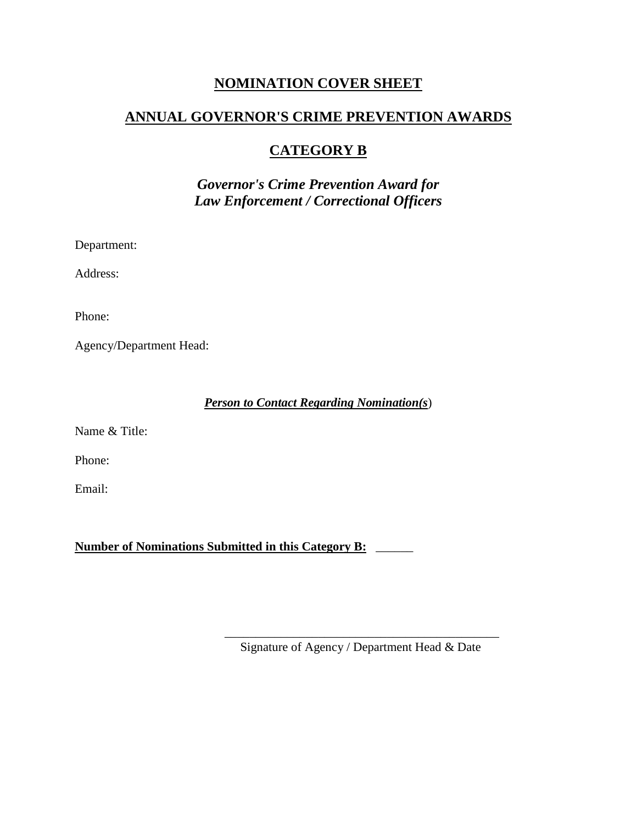## **NOMINATION COVER SHEET**

# **ANNUAL GOVERNOR'S CRIME PREVENTION AWARDS**

# **CATEGORY B**

*Governor's Crime Prevention Award for Law Enforcement / Correctional Officers*

Department:

Address:

Phone:

Agency/Department Head:

*Person to Contact Regarding Nomination(s*)

Name & Title:

Phone:

Email:

**Number of Nominations Submitted in this Category B:** \_\_\_\_\_\_

\_\_\_\_\_\_\_\_\_\_\_\_\_\_\_\_\_\_\_\_\_\_\_\_\_\_\_\_\_\_\_\_\_\_\_\_\_\_\_\_\_\_\_\_ Signature of Agency / Department Head & Date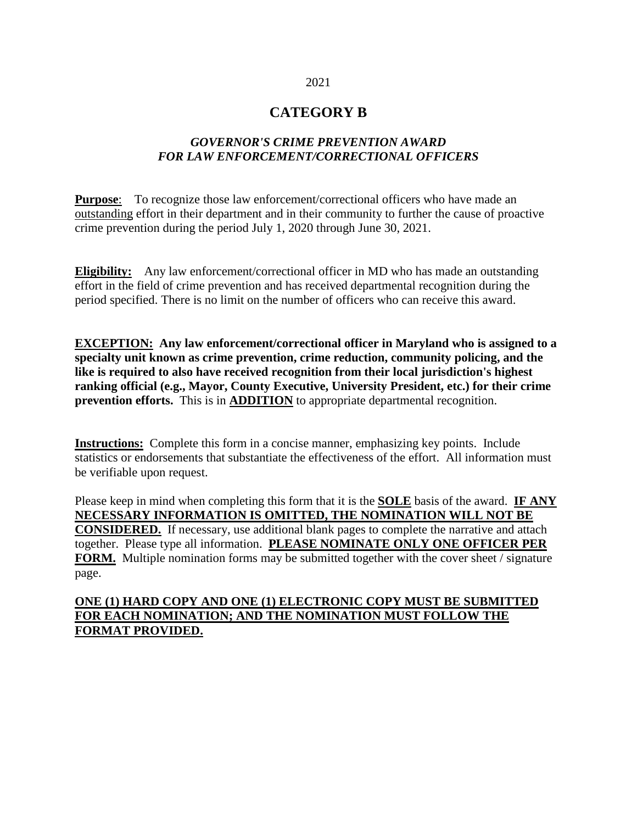#### 2021

## **CATEGORY B**

### *GOVERNOR'S CRIME PREVENTION AWARD FOR LAW ENFORCEMENT/CORRECTIONAL OFFICERS*

**Purpose**: To recognize those law enforcement/correctional officers who have made an outstanding effort in their department and in their community to further the cause of proactive crime prevention during the period July 1, 2020 through June 30, 2021.

**Eligibility:** Any law enforcement/correctional officer in MD who has made an outstanding effort in the field of crime prevention and has received departmental recognition during the period specified. There is no limit on the number of officers who can receive this award.

**EXCEPTION: Any law enforcement/correctional officer in Maryland who is assigned to a specialty unit known as crime prevention, crime reduction, community policing, and the like is required to also have received recognition from their local jurisdiction's highest ranking official (e.g., Mayor, County Executive, University President, etc.) for their crime prevention efforts.** This is in **ADDITION** to appropriate departmental recognition.

**Instructions:** Complete this form in a concise manner, emphasizing key points. Include statistics or endorsements that substantiate the effectiveness of the effort. All information must be verifiable upon request.

Please keep in mind when completing this form that it is the **SOLE** basis of the award. **IF ANY NECESSARY INFORMATION IS OMITTED, THE NOMINATION WILL NOT BE CONSIDERED.** If necessary, use additional blank pages to complete the narrative and attach together. Please type all information. **PLEASE NOMINATE ONLY ONE OFFICER PER FORM.** Multiple nomination forms may be submitted together with the cover sheet / signature page.

### **ONE (1) HARD COPY AND ONE (1) ELECTRONIC COPY MUST BE SUBMITTED FOR EACH NOMINATION; AND THE NOMINATION MUST FOLLOW THE FORMAT PROVIDED.**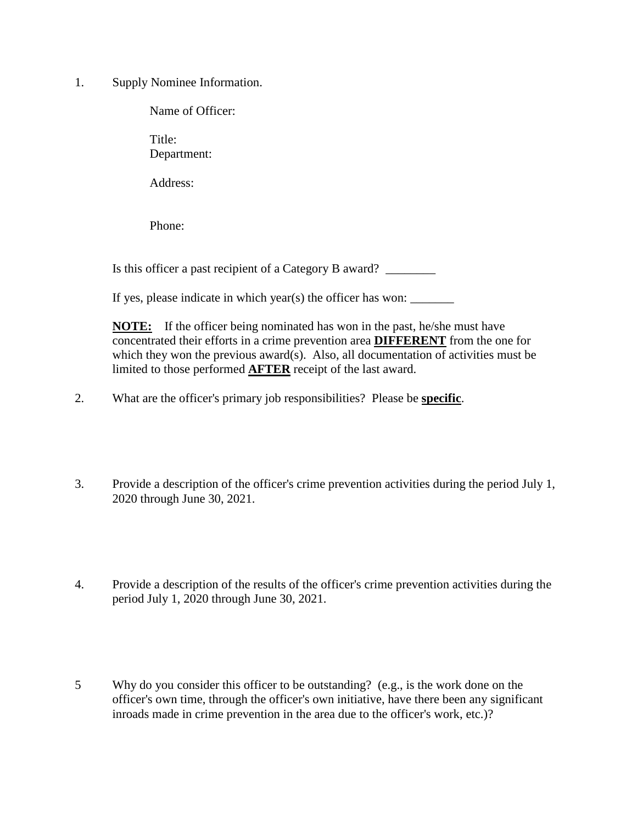1. Supply Nominee Information.

Name of Officer:

Title: Department:

Address:

Phone:

Is this officer a past recipient of a Category B award?

If yes, please indicate in which year(s) the officer has won:  $\qquad \qquad$ 

**NOTE:** If the officer being nominated has won in the past, he/she must have concentrated their efforts in a crime prevention area **DIFFERENT** from the one for which they won the previous award(s). Also, all documentation of activities must be limited to those performed **AFTER** receipt of the last award.

- 2. What are the officer's primary job responsibilities? Please be **specific**.
- 3. Provide a description of the officer's crime prevention activities during the period July 1, 2020 through June 30, 2021.
- 4. Provide a description of the results of the officer's crime prevention activities during the period July 1, 2020 through June 30, 2021.
- 5 Why do you consider this officer to be outstanding? (e.g., is the work done on the officer's own time, through the officer's own initiative, have there been any significant inroads made in crime prevention in the area due to the officer's work, etc.)?